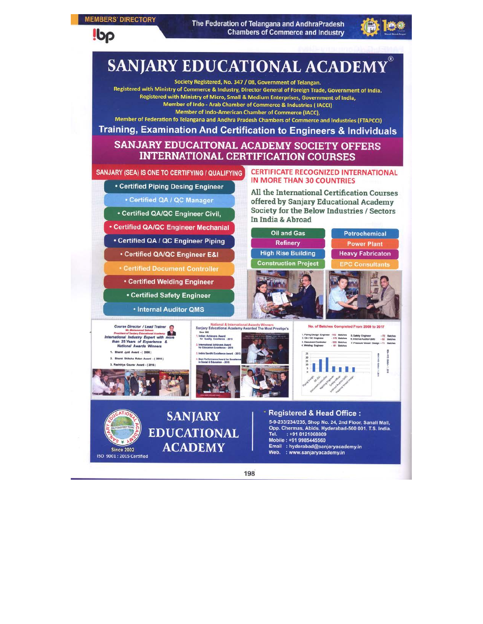#### **MEMBERS' DIRECTORY**

**Ibp** 

The Federation of Telangana and AndhraPradesh **Chambers of Commerce and Industry** 



# **SANJARY EDUCATIONAL ACADEMY**

Society Registered, No. 347 / 08, Government of Telangan. Registered with Ministry of Commerce & Industry, Director General of Foreign Trade, Government of India. Registered with Ministry of Micro, Small & Medium Enterprises, Government of India, Member of Indo - Arab Chamber of Commerce & Industries (IACCI)

Member of Indo-American Chamber of Commerce (IACC),

Member of Federation fo Telangana and Andhra Pradesh Chambers of Commerce and Industries (FTAPCCI)

Training, Examination And Certification to Engineers & Individuals

SANJARY EDUCAITONAL ACADEMY SOCIETY OFFERS **INTERNATIONAL CERTIFICATION COURSES** 

SANJARY (SEA) IS ONE TO CERTIFYING / QUALIFYING

• Certified Piping Desing Engineer

• Certified QA / QC Manager

• Certified QA/QC Engineer Civil,

**• Certified QA/QC Engineer Mechanial** 

• Certified QA / QC Engineer Piping

• Certified QA/QC Engineer E&I

**\* Certified Document Controller** 

• Internal Auditor QMS

**Since 2002** ISO 9001: 2015 Certified **CERTIFICATE RECOGNIZED INTERNATIONAL IN MORE THAN 30 COUNTRIES** 

All the International Certification Courses offered by Sanjary Educational Academy Society for the Below Industries / Sectors In India & Abroad



198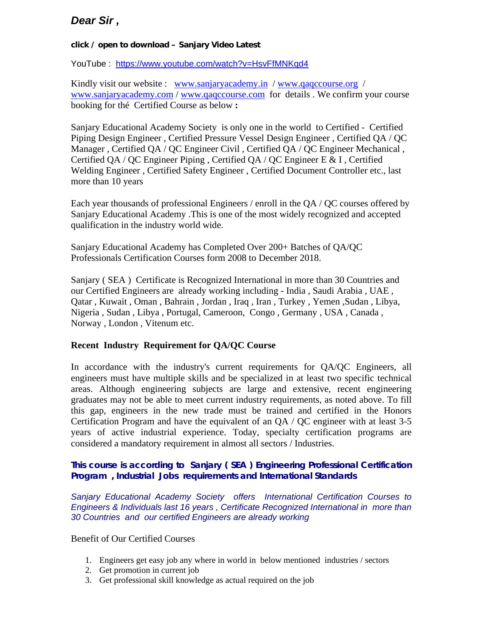## *Dear Sir ,*

#### **click / open to download – Sanjary Video Latest**

YouTube : <https://www.youtube.com/watch?v=HsvFfMNKqd4>

Kindly visit our website : [www.sanjaryacademy.in](http://www.sanjaryacademy.in/) / [www.qaqccourse.org](http://www.qaqccourse.org/) / [www.sanjaryacademy.com](http://www.sanjaryacademy.com/) / [www.qaqccourse.com](http://www.qaqccourse.com/) for details . We confirm your course booking for thé Certified Course as below **:**

Sanjary Educational Academy Society is only one in the world to Certified - Certified Piping Design Engineer , Certified Pressure Vessel Design Engineer , Certified QA / QC Manager , Certified QA / QC Engineer Civil , Certified QA / QC Engineer Mechanical , Certified QA / QC Engineer Piping , Certified QA / QC Engineer E & I , Certified Welding Engineer , Certified Safety Engineer , Certified Document Controller etc., last more than 10 years

Each year thousands of professional Engineers / enroll in the QA / QC courses offered by Sanjary Educational Academy .This is one of the most widely recognized and accepted qualification in the industry world wide.

Sanjary Educational Academy has Completed Over 200+ Batches of QA/QC Professionals Certification Courses form 2008 to December 2018.

Sanjary ( SEA ) Certificate is Recognized International in more than 30 Countries and our Certified Engineers are already working including - India , Saudi Arabia , UAE , Qatar , Kuwait , Oman , Bahrain , Jordan , Iraq , Iran , Turkey , Yemen ,Sudan , Libya, Nigeria , Sudan , Libya , Portugal, Cameroon, Congo , Germany , USA , Canada , Norway , London , Vitenum etc.

#### **Recent Industry Requirement for QA/QC Course**

In accordance with the industry's current requirements for QA/QC Engineers, all engineers must have multiple skills and be specialized in at least two specific technical areas. Although engineering subjects are large and extensive, recent engineering graduates may not be able to meet current industry requirements, as noted above. To fill this gap, engineers in the new trade must be trained and certified in the Honors Certification Program and have the equivalent of an QA / QC engineer with at least 3-5 years of active industrial experience. Today, specialty certification programs are considered a mandatory requirement in almost all sectors / Industries.

### *This course is according to Sanjary ( SEA ) Engineering Professional Certification Program , Industrial Jobs requirements and International Standards*

*Sanjary Educational Academy Society offers International Certification Courses to Engineers & Individuals last 16 years , Certificate Recognized International in more than 30 Countries and our certified Engineers are already working* 

#### Benefit of Our Certified Courses

- 1. Engineers get easy job any where in world in below mentioned industries / sectors
- 2. Get promotion in current job
- 3. Get professional skill knowledge as actual required on the job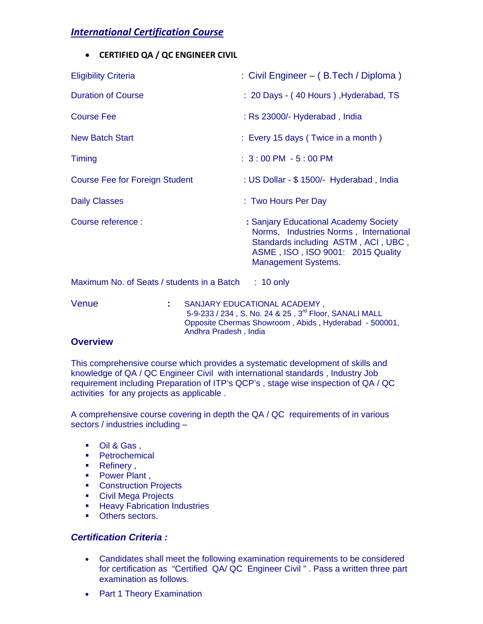## *International Certification Course*

• **CERTIFIED QA / QC ENGINEER CIVIL** 

| <b>Eligibility Criteria</b>                | : Civil Engineer – (B.Tech / Diploma)                                                                                                                                                     |
|--------------------------------------------|-------------------------------------------------------------------------------------------------------------------------------------------------------------------------------------------|
| <b>Duration of Course</b>                  | : 20 Days - (40 Hours), Hyderabad, TS                                                                                                                                                     |
| Course Fee                                 | : Rs 23000/- Hyderabad, India                                                                                                                                                             |
| <b>New Batch Start</b>                     | : Every 15 days (Twice in a month)                                                                                                                                                        |
| Timing                                     | $: 3:00$ PM $-5:00$ PM                                                                                                                                                                    |
| <b>Course Fee for Foreign Student</b>      | : US Dollar - \$ 1500/- Hyderabad, India                                                                                                                                                  |
| <b>Daily Classes</b>                       | : Two Hours Per Day                                                                                                                                                                       |
| Course reference :                         | : Sanjary Educational Academy Society<br>Norms, Industries Norms, International<br>Standards including ASTM, ACI, UBC,<br>ASME, ISO, ISO 9001: 2015 Quality<br><b>Management Systems.</b> |
| Maximum No. of Seats / students in a Batch | $: 10$ only                                                                                                                                                                               |

Venue **:** SANJARY EDUCATIONAL ACADEMY , 5-9-233 / 234, S. No. 24 & 25, 3<sup>rd</sup> Floor, SANALI MALL Opposite Chermas Showroom , Abids , Hyderabad - 500001, Andhra Pradesh , India

#### **Overview**

This comprehensive course which provides a systematic development of skills and knowledge of QA / QC Engineer Civil with international standards , Industry Job requirement including Preparation of ITP's QCP's , stage wise inspection of QA / QC activities for any projects as applicable .

A comprehensive course covering in depth the QA / QC requirements of in various sectors / industries including –

- Oil & Gas ,
- Petrochemical
- Refinery,
- Power Plant,
- **Construction Projects**
- **Civil Mega Projects**
- **Heavy Fabrication Industries**
- **•** Others sectors.

#### *Certification Criteria :*

- Candidates shall meet the following examination requirements to be considered for certification as "Certified QA/ QC Engineer Civil " . Pass a written three part examination as follows.
- Part 1 Theory Examination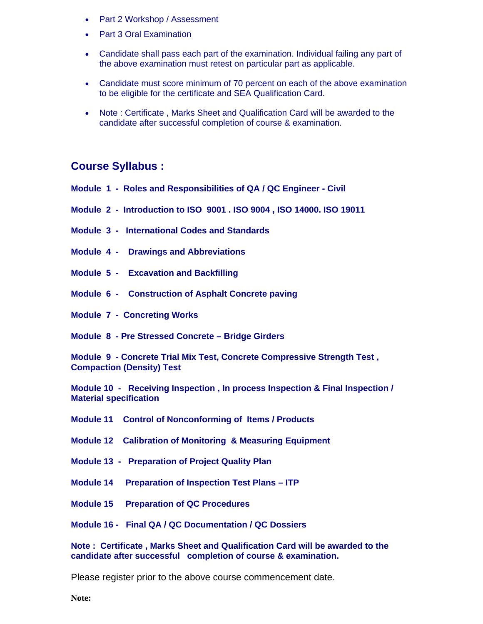- Part 2 Workshop / Assessment
- Part 3 Oral Examination
- Candidate shall pass each part of the examination. Individual failing any part of the above examination must retest on particular part as applicable.
- Candidate must score minimum of 70 percent on each of the above examination to be eligible for the certificate and SEA Qualification Card.
- Note : Certificate , Marks Sheet and Qualification Card will be awarded to the candidate after successful completion of course & examination.

## **Course Syllabus :**

- **Module 1 Roles and Responsibilities of QA / QC Engineer - Civil**
- **Module 2 Introduction to ISO 9001 . ISO 9004 , ISO 14000. ISO 19011**
- **Module 3 International Codes and Standards**
- **Module 4 Drawings and Abbreviations**
- **Module 5 Excavation and Backfilling**
- **Module 6 Construction of Asphalt Concrete paving**
- **Module 7 Concreting Works**
- **Module 8 - Pre Stressed Concrete – Bridge Girders**

**Module 9 - Concrete Trial Mix Test, Concrete Compressive Strength Test , Compaction (Density) Test** 

**Module 10 - Receiving Inspection , In process Inspection & Final Inspection / Material specification** 

- **Module 11 Control of Nonconforming of Items / Products**
- **Module 12 Calibration of Monitoring & Measuring Equipment**
- **Module 13 Preparation of Project Quality Plan**
- **Module 14 Preparation of Inspection Test Plans – ITP**
- **Module 15 Preparation of QC Procedures**

**Module 16 - Final QA / QC Documentation / QC Dossiers** 

**Note : Certificate , Marks Sheet and Qualification Card will be awarded to the candidate after successful completion of course & examination.**

Please register prior to the above course commencement date.

**Note:**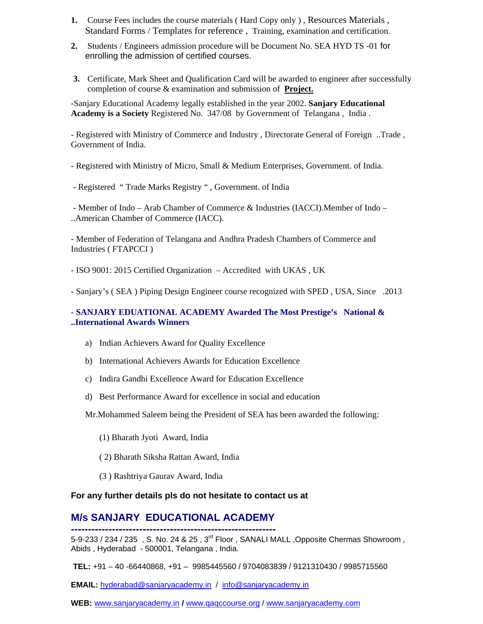- **1.** Course Fees includes the course materials (Hard Copy only), Resources Materials, Standard Forms / Templates for reference , Training, examination and certification.
- **2.** Students / Engineers admission procedure will be Document No. SEA HYD TS -01 for enrolling the admission of certified courses.
- **3.** Certificate, Mark Sheet and Qualification Card will be awarded to engineer after successfully completion of course & examination and submission of **Project.**

-Sanjary Educational Academy legally established in the year 2002. **Sanjary Educational Academy is a Society** Registered No. 347/08 by Government of Telangana , India .

- Registered with Ministry of Commerce and Industry , Directorate General of Foreign ..Trade , Government of India.

- Registered with Ministry of Micro, Small & Medium Enterprises, Government. of India.

- Registered " Trade Marks Registry " , Government. of India

- Member of Indo – Arab Chamber of Commerce & Industries (IACCI).Member of Indo – ..American Chamber of Commerce (IACC).

- Member of Federation of Telangana and Andhra Pradesh Chambers of Commerce and Industries ( FTAPCCI )

- ISO 9001: 2015 Certified Organization – Accredited with UKAS , UK

- Sanjary's ( SEA ) Piping Design Engineer course recognized with SPED , USA, Since .2013

#### - **SANJARY EDUATIONAL ACADEMY Awarded The Most Prestige's National & ..International Awards Winners**

- a) Indian Achievers Award for Quality Excellence
- b) International Achievers Awards for Education Excellence
- c) Indira Gandhi Excellence Award for Education Excellence
- d) Best Performance Award for excellence in social and education

Mr.Mohammed Saleem being the President of SEA has been awarded the following:

- (1) Bharath Jyoti Award, India
- ( 2) Bharath Siksha Rattan Award, India
- (3 ) Rashtriya Gaurav Award, India

#### **For any further details pls do not hesitate to contact us at**

## **M/s SANJARY EDUCATIONAL ACADEMY**

**------------------------------------------------------------** 5-9-233 / 234 / 235, S. No. 24 & 25, 3<sup>rd</sup> Floor, SANALI MALL ,Opposite Chermas Showroom, Abids , Hyderabad - 500001, Telangana , India.

**TEL:** +91 – 40 -66440868, +91 – 9985445560 / 9704083839 / 9121310430 / 9985715560

**EMAIL:** [hyderabad@sanjaryacademy.in](mailto:hyderabad@sanjaryacademy.in) / [info@sanjaryacademy.in](mailto:info@sanjaryacademy.in)

**WEB:** [www.sanjaryacademy.in](http://www.sanjaryacademy.in/) **/** [www.qaqccourse.org](http://www.qaqccourse.org/) / [www.sanjaryacademy.com](http://www.sanjaryacademy.com/)